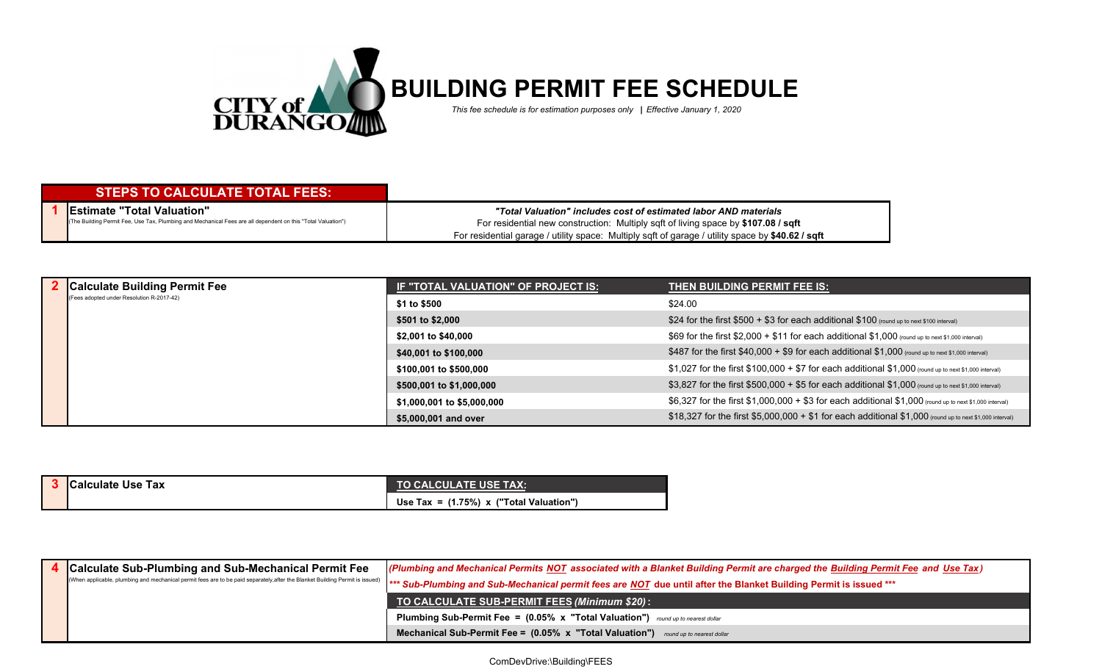

## **STEPS TO CALCULATE TOTAL FEES:**

**1 Estimate "Total Valuation"** (The Building Permit Fee, Use Tax, Plumbing and Mechanical Fees are all dependent on this "Total Valuation")

*"Total Valuation" includes cost of estimated labor AND materials* For residential garage / utility space: Multiply sqft of garage / utility space by **\$40.62 / sqft** For residential new construction: Multiply sqft of living space by **\$107.08 / sqft**

|  | <b>Calculate Building Permit Fee</b><br>(Fees adopted under Resolution R-2017-42) | <b>IF "TOTAL VALUATION" OF PROJECT IS:</b> | THEN BUILDING PERMIT FEE IS:                                                                              |
|--|-----------------------------------------------------------------------------------|--------------------------------------------|-----------------------------------------------------------------------------------------------------------|
|  |                                                                                   | \$1 to \$500                               | \$24.00                                                                                                   |
|  |                                                                                   | \$501 to \$2,000                           | \$24 for the first $$500 + $3$ for each additional $$100$ (round up to next \$100 interval)               |
|  |                                                                                   | \$2,001 to \$40,000                        | \$69 for the first \$2,000 + \$11 for each additional \$1,000 (round up to next \$1,000 interval)         |
|  |                                                                                   | \$40,001 to \$100,000                      | \$487 for the first \$40,000 + \$9 for each additional $$1,000$ (round up to next \$1,000 interval)       |
|  |                                                                                   | \$100,001 to \$500,000                     | \$1,027 for the first \$100,000 + \$7 for each additional \$1,000 (round up to next \$1,000 interval)     |
|  |                                                                                   | \$500,001 to \$1,000,000                   | \$3,827 for the first \$500,000 + \$5 for each additional \$1,000 (round up to next \$1,000 interval)     |
|  |                                                                                   | \$1,000,001 to \$5,000,000                 | \$6,327 for the first \$1,000,000 + \$3 for each additional \$1,000 (round up to next \$1,000 interval)   |
|  |                                                                                   | \$5,000,001 and over                       | \$18,327 for the first \$5,000,000 + \$1 for each additional $$1,000$ (round up to next \$1,000 interval) |

| <b>Calculate Use Tax</b> | <b>\TO CALCULATE USE TAX: \</b>            |
|--------------------------|--------------------------------------------|
|                          | Use Tax = $(1.75\%)$ x ("Total Valuation") |

| <b>Calculate Sub-Plumbing and Sub-Mechanical Permit Fee</b> | (Plumbing and Mechanical Permits NOT associated with a Blanket Building Permit are charged the Building Permit Fee and Use Tax)<br>(When applicable, plumbing and mechanical permit fees are to be paid separately,after the Blanket Building Permit is issued)   *** Sub-Plumbing and Sub-Mechanical permit fees are MOT due until after the Blanket Building Pe |
|-------------------------------------------------------------|-------------------------------------------------------------------------------------------------------------------------------------------------------------------------------------------------------------------------------------------------------------------------------------------------------------------------------------------------------------------|
|                                                             | TO CALCULATE SUB-PERMIT FEES (Minimum \$20):                                                                                                                                                                                                                                                                                                                      |
|                                                             | <b>Plumbing Sub-Permit Fee = (0.05% x "Total Valuation")</b> round up to nearest dollar                                                                                                                                                                                                                                                                           |
|                                                             | <b>Mechanical Sub-Permit Fee = <math>(0.05\% \times \text{Total Validation''})</math></b> round up to nearest dollar                                                                                                                                                                                                                                              |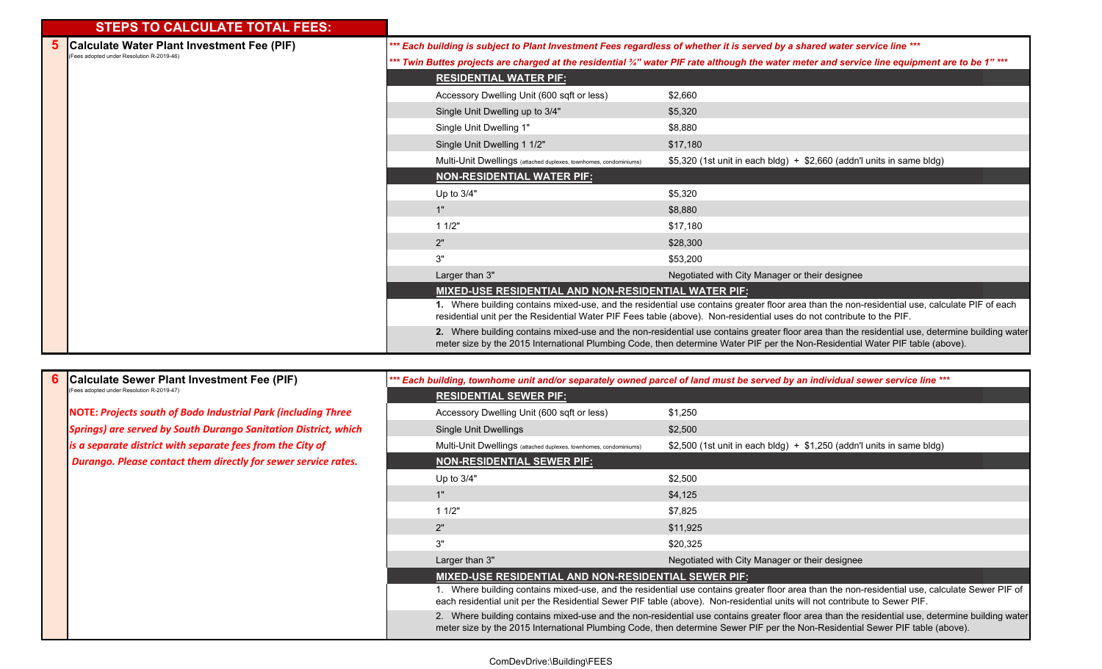## **STEPS TO CALCULATE TOTAL FEES:**

**6**

| Calculate Water Plant Investment Fee (PIF) |                                                                   | *** Each building is subject to Plant Investment Fees regardless of whether it is served by a shared water service line ***                                                                                                                                                      |
|--------------------------------------------|-------------------------------------------------------------------|----------------------------------------------------------------------------------------------------------------------------------------------------------------------------------------------------------------------------------------------------------------------------------|
| (Fees adopted under Resolution R-2019-46)  |                                                                   | *** Twin Buttes projects are charged at the residential ¾" water PIF rate although the water meter and service line equipment are to be 1" ***                                                                                                                                   |
|                                            | <b>RESIDENTIAL WATER PIF:</b>                                     |                                                                                                                                                                                                                                                                                  |
|                                            | Accessory Dwelling Unit (600 sqft or less)                        | \$2,660                                                                                                                                                                                                                                                                          |
|                                            | Single Unit Dwelling up to 3/4"                                   | \$5,320                                                                                                                                                                                                                                                                          |
|                                            | Single Unit Dwelling 1"                                           | \$8,880                                                                                                                                                                                                                                                                          |
|                                            | Single Unit Dwelling 1 1/2"                                       | \$17,180                                                                                                                                                                                                                                                                         |
|                                            | Multi-Unit Dwellings (attached duplexes, townhomes, condominiums) | $$5,320$ (1st unit in each bldg) + $$2,660$ (addn'l units in same bldg)                                                                                                                                                                                                          |
|                                            | <b>NON-RESIDENTIAL WATER PIF:</b>                                 |                                                                                                                                                                                                                                                                                  |
|                                            | Up to $3/4"$                                                      | \$5,320                                                                                                                                                                                                                                                                          |
|                                            | 1"                                                                | \$8,880                                                                                                                                                                                                                                                                          |
|                                            | 11/2"                                                             | \$17,180                                                                                                                                                                                                                                                                         |
|                                            | 2"                                                                | \$28,300                                                                                                                                                                                                                                                                         |
|                                            | 3"                                                                | \$53,200                                                                                                                                                                                                                                                                         |
|                                            | Larger than 3"                                                    | Negotiated with City Manager or their designee                                                                                                                                                                                                                                   |
|                                            | <b>MIXED-USE RESIDENTIAL AND NON-RESIDENTIAL WATER PIF:</b>       |                                                                                                                                                                                                                                                                                  |
|                                            |                                                                   | 1. Where building contains mixed-use, and the residential use contains greater floor area than the non-residential use, calculate PIF of each<br>residential unit per the Residential Water PIF Fees table (above). Non-residential uses do not contribute to the PIF.           |
|                                            |                                                                   | 2. Where building contains mixed-use and the non-residential use contains greater floor area than the residential use, determine building water<br>meter size by the 2015 International Plumbing Code, then determine Water PIF per the Non-Residential Water PIF table (above). |

| Calculate Sewer Plant Investment Fee (PIF) |                                                                        | *** Each building, townhome unit and/or separately owned parcel of land must be served by an individual sewer service line ***                                                                                                                                               |                                                                                                                                                                                                                                                                                  |
|--------------------------------------------|------------------------------------------------------------------------|------------------------------------------------------------------------------------------------------------------------------------------------------------------------------------------------------------------------------------------------------------------------------|----------------------------------------------------------------------------------------------------------------------------------------------------------------------------------------------------------------------------------------------------------------------------------|
|                                            | (Fees adopted under Resolution R-2019-47)                              | <b>RESIDENTIAL SEWER PIF:</b>                                                                                                                                                                                                                                                |                                                                                                                                                                                                                                                                                  |
|                                            | <b>NOTE: Projects south of Bodo Industrial Park (including Three</b>   | Accessory Dwelling Unit (600 sqft or less)                                                                                                                                                                                                                                   | \$1,250                                                                                                                                                                                                                                                                          |
|                                            | <b>Springs) are served by South Durango Sanitation District, which</b> | Single Unit Dwellings                                                                                                                                                                                                                                                        | \$2,500                                                                                                                                                                                                                                                                          |
|                                            | is a separate district with separate fees from the City of             | Multi-Unit Dwellings (attached duplexes, townhomes, condominiums)                                                                                                                                                                                                            | \$2,500 (1st unit in each bldg) + $$1,250$ (addn't units in same bldg)                                                                                                                                                                                                           |
|                                            | Durango. Please contact them directly for sewer service rates.         | <b>NON-RESIDENTIAL SEWER PIF:</b>                                                                                                                                                                                                                                            |                                                                                                                                                                                                                                                                                  |
|                                            |                                                                        | Up to 3/4"                                                                                                                                                                                                                                                                   | \$2,500                                                                                                                                                                                                                                                                          |
|                                            |                                                                        |                                                                                                                                                                                                                                                                              | \$4,125                                                                                                                                                                                                                                                                          |
|                                            |                                                                        | 11/2"                                                                                                                                                                                                                                                                        | \$7,825                                                                                                                                                                                                                                                                          |
|                                            |                                                                        | 2"                                                                                                                                                                                                                                                                           | \$11,925                                                                                                                                                                                                                                                                         |
|                                            |                                                                        | 3"                                                                                                                                                                                                                                                                           | \$20,325                                                                                                                                                                                                                                                                         |
|                                            |                                                                        | Larger than 3"                                                                                                                                                                                                                                                               | Negotiated with City Manager or their designee                                                                                                                                                                                                                                   |
|                                            |                                                                        | <b>MIXED-USE RESIDENTIAL AND NON-RESIDENTIAL SEWER PIF:</b>                                                                                                                                                                                                                  |                                                                                                                                                                                                                                                                                  |
|                                            |                                                                        | 1. Where building contains mixed-use, and the residential use contains greater floor area than the non-residential use, calculate Sewer PIF of<br>each residential unit per the Residential Sewer PIF table (above). Non-residential units will not contribute to Sewer PIF. |                                                                                                                                                                                                                                                                                  |
|                                            |                                                                        |                                                                                                                                                                                                                                                                              | 2. Where building contains mixed-use and the non-residential use contains greater floor area than the residential use, determine building water<br>meter size by the 2015 International Plumbing Code, then determine Sewer PIF per the Non-Residential Sewer PIF table (above). |

## ComDevDrive:\Building\FEES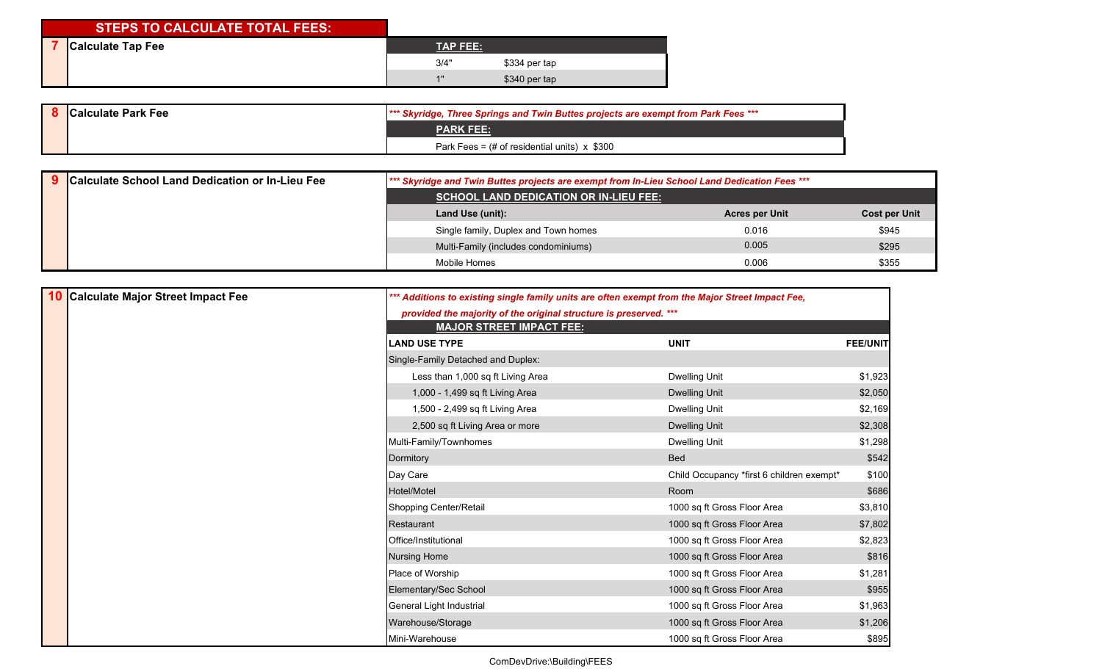## **STEPS TO CALCULATE TOTAL FEES:**

| <b>Calculate Tap Fee</b> | <b>TAP FEE:</b> |               |
|--------------------------|-----------------|---------------|
|                          | 3/4"            | \$334 per tap |
|                          | 41              | \$340 per tap |

|  | <b>Calculate Park Fee</b> | <b>*** Skyridge, Three Springs and Twin Buttes projects are exempt from Park Fees ***</b> |
|--|---------------------------|-------------------------------------------------------------------------------------------|
|  |                           | <b>PARK FEE:</b>                                                                          |
|  |                           | Park Fees = $#$ of residential units) $x$ \$300                                           |

| Calculate School Land Dedication or In-Lieu Fee | *** Skyridge and Twin Buttes projects are exempt from In-Lieu School Land Dedication Fees *** |                       |                      |
|-------------------------------------------------|-----------------------------------------------------------------------------------------------|-----------------------|----------------------|
|                                                 | <b>SCHOOL LAND DEDICATION OR IN-LIEU FEE:</b>                                                 |                       |                      |
|                                                 | Land Use (unit):                                                                              | <b>Acres per Unit</b> | <b>Cost per Unit</b> |
|                                                 | Single family, Duplex and Town homes                                                          | 0.016                 | \$945                |
|                                                 | Multi-Family (includes condominiums)                                                          | 0.005                 | \$295                |
|                                                 | Mobile Homes                                                                                  | 0.006                 | \$355                |

| 10 | Calculate Major Street Impact Fee | *** Additions to existing single family units are often exempt from the Major Street Impact Fee, |                                           |                 |
|----|-----------------------------------|--------------------------------------------------------------------------------------------------|-------------------------------------------|-----------------|
|    |                                   | provided the majority of the original structure is preserved. ***                                |                                           |                 |
|    |                                   | <b>MAJOR STREET IMPACT FEE:</b>                                                                  |                                           |                 |
|    |                                   | <b>LAND USE TYPE</b>                                                                             | <b>UNIT</b>                               | <b>FEE/UNIT</b> |
|    |                                   | Single-Family Detached and Duplex:                                                               |                                           |                 |
|    |                                   | Less than 1,000 sq ft Living Area                                                                | Dwelling Unit                             | \$1,923         |
|    |                                   | 1,000 - 1,499 sq ft Living Area                                                                  | <b>Dwelling Unit</b>                      | \$2,050         |
|    |                                   | 1,500 - 2,499 sq ft Living Area                                                                  | <b>Dwelling Unit</b>                      | \$2,169         |
|    |                                   | 2,500 sq ft Living Area or more                                                                  | <b>Dwelling Unit</b>                      | \$2,308         |
|    |                                   | Multi-Family/Townhomes                                                                           | Dwelling Unit                             | \$1,298         |
|    |                                   | Dormitory                                                                                        |                                           | \$542           |
|    |                                   | Day Care                                                                                         | Child Occupancy *first 6 children exempt* | \$100           |
|    |                                   | Hotel/Motel                                                                                      | Room                                      | \$686           |
|    |                                   | Shopping Center/Retail                                                                           | 1000 sq ft Gross Floor Area               | \$3,810         |
|    |                                   | Restaurant                                                                                       | 1000 sq ft Gross Floor Area               | \$7,802         |
|    |                                   | Office/Institutional                                                                             | 1000 sq ft Gross Floor Area               | \$2,823         |
|    |                                   | <b>Nursing Home</b>                                                                              | 1000 sq ft Gross Floor Area               | \$816           |
|    |                                   | Place of Worship                                                                                 | 1000 sq ft Gross Floor Area               | \$1,281         |
|    |                                   | Elementary/Sec School                                                                            | 1000 sq ft Gross Floor Area               | \$955           |
|    |                                   | General Light Industrial                                                                         | 1000 sq ft Gross Floor Area               | \$1,963         |
|    |                                   | Warehouse/Storage                                                                                | 1000 sq ft Gross Floor Area               | \$1,206         |
|    |                                   | Mini-Warehouse                                                                                   | 1000 sq ft Gross Floor Area               | \$895           |

ComDevDrive:\Building\FEES